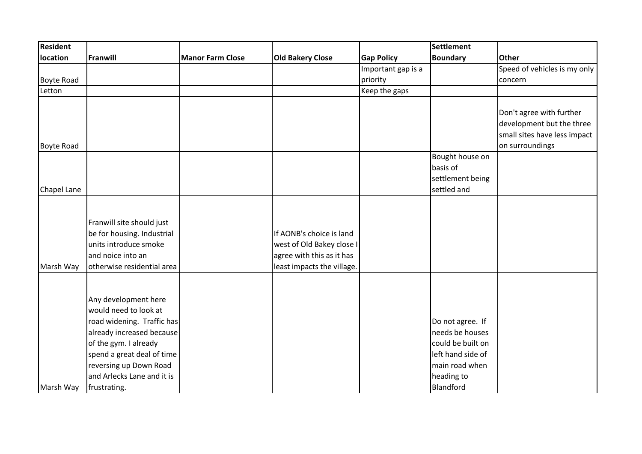| Resident    |                            |                         |                            |                    | <b>Settlement</b> |                              |
|-------------|----------------------------|-------------------------|----------------------------|--------------------|-------------------|------------------------------|
| location    | Franwill                   | <b>Manor Farm Close</b> | <b>Old Bakery Close</b>    | <b>Gap Policy</b>  | <b>Boundary</b>   | <b>Other</b>                 |
|             |                            |                         |                            | Important gap is a |                   | Speed of vehicles is my only |
| Boyte Road  |                            |                         |                            | priority           |                   | concern                      |
| Letton      |                            |                         |                            | Keep the gaps      |                   |                              |
|             |                            |                         |                            |                    |                   |                              |
|             |                            |                         |                            |                    |                   | Don't agree with further     |
|             |                            |                         |                            |                    |                   | development but the three    |
|             |                            |                         |                            |                    |                   | small sites have less impact |
| Boyte Road  |                            |                         |                            |                    |                   | on surroundings              |
|             |                            |                         |                            |                    | Bought house on   |                              |
|             |                            |                         |                            |                    | basis of          |                              |
|             |                            |                         |                            |                    | settlement being  |                              |
| Chapel Lane |                            |                         |                            |                    | settled and       |                              |
|             |                            |                         |                            |                    |                   |                              |
|             | Franwill site should just  |                         |                            |                    |                   |                              |
|             | be for housing. Industrial |                         | If AONB's choice is land   |                    |                   |                              |
|             | units introduce smoke      |                         | west of Old Bakey close I  |                    |                   |                              |
|             | and noice into an          |                         | agree with this as it has  |                    |                   |                              |
| Marsh Way   | otherwise residential area |                         | least impacts the village. |                    |                   |                              |
|             |                            |                         |                            |                    |                   |                              |
|             |                            |                         |                            |                    |                   |                              |
|             | Any development here       |                         |                            |                    |                   |                              |
|             | would need to look at      |                         |                            |                    |                   |                              |
|             | road widening. Traffic has |                         |                            |                    | Do not agree. If  |                              |
|             | already increased because  |                         |                            |                    | needs be houses   |                              |
|             | of the gym. I already      |                         |                            |                    | could be built on |                              |
|             | spend a great deal of time |                         |                            |                    | left hand side of |                              |
|             | reversing up Down Road     |                         |                            |                    | main road when    |                              |
|             | and Arlecks Lane and it is |                         |                            |                    | heading to        |                              |
| Marsh Way   | frustrating.               |                         |                            |                    | Blandford         |                              |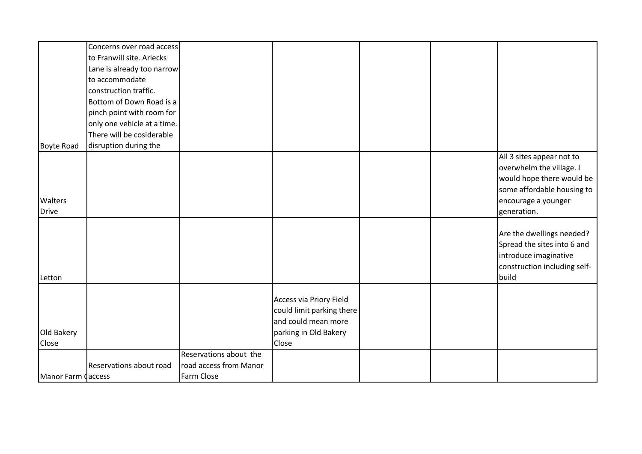|                    | Concerns over road access   |                        |                                                                             |  |                                                                                                                                                        |
|--------------------|-----------------------------|------------------------|-----------------------------------------------------------------------------|--|--------------------------------------------------------------------------------------------------------------------------------------------------------|
|                    | to Franwill site. Arlecks   |                        |                                                                             |  |                                                                                                                                                        |
|                    | Lane is already too narrow  |                        |                                                                             |  |                                                                                                                                                        |
|                    | to accommodate              |                        |                                                                             |  |                                                                                                                                                        |
|                    | construction traffic.       |                        |                                                                             |  |                                                                                                                                                        |
|                    | Bottom of Down Road is a    |                        |                                                                             |  |                                                                                                                                                        |
|                    | pinch point with room for   |                        |                                                                             |  |                                                                                                                                                        |
|                    | only one vehicle at a time. |                        |                                                                             |  |                                                                                                                                                        |
|                    | There will be cosiderable   |                        |                                                                             |  |                                                                                                                                                        |
| Boyte Road         | disruption during the       |                        |                                                                             |  |                                                                                                                                                        |
| Walters<br>Drive   |                             |                        |                                                                             |  | All 3 sites appear not to<br>overwhelm the village. I<br>would hope there would be<br>some affordable housing to<br>encourage a younger<br>generation. |
|                    |                             |                        |                                                                             |  |                                                                                                                                                        |
| Letton             |                             |                        |                                                                             |  | Are the dwellings needed?<br>Spread the sites into 6 and<br>introduce imaginative<br>construction including self-<br>build                             |
|                    |                             |                        |                                                                             |  |                                                                                                                                                        |
|                    |                             |                        | Access via Priory Field<br>could limit parking there<br>and could mean more |  |                                                                                                                                                        |
| Old Bakery         |                             |                        | parking in Old Bakery                                                       |  |                                                                                                                                                        |
| Close              |                             |                        | Close                                                                       |  |                                                                                                                                                        |
|                    |                             | Reservations about the |                                                                             |  |                                                                                                                                                        |
|                    | Reservations about road     | road access from Manor |                                                                             |  |                                                                                                                                                        |
| Manor Farm Caccess |                             | Farm Close             |                                                                             |  |                                                                                                                                                        |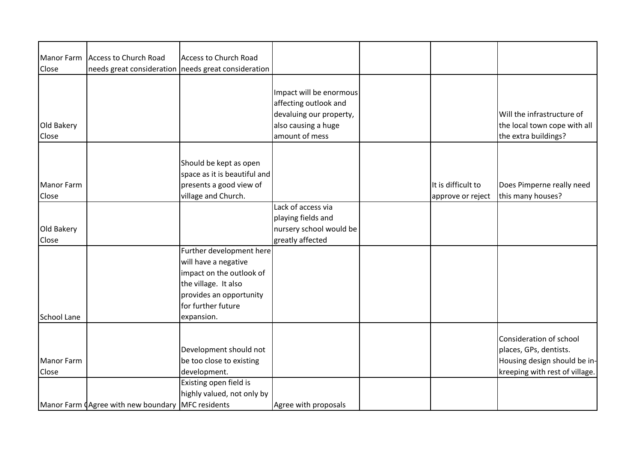| Manor Farm   | <b>Access to Church Road</b>                        | Access to Church Road                               |                         |                    |                                |
|--------------|-----------------------------------------------------|-----------------------------------------------------|-------------------------|--------------------|--------------------------------|
| <b>Close</b> |                                                     | needs great consideration needs great consideration |                         |                    |                                |
|              |                                                     |                                                     |                         |                    |                                |
|              |                                                     |                                                     |                         |                    |                                |
|              |                                                     |                                                     | Impact will be enormous |                    |                                |
|              |                                                     |                                                     | affecting outlook and   |                    |                                |
|              |                                                     |                                                     | devaluing our property, |                    | Will the infrastructure of     |
| Old Bakery   |                                                     |                                                     | also causing a huge     |                    | the local town cope with all   |
| <b>Close</b> |                                                     |                                                     | amount of mess          |                    | the extra buildings?           |
|              |                                                     |                                                     |                         |                    |                                |
|              |                                                     | Should be kept as open                              |                         |                    |                                |
|              |                                                     |                                                     |                         |                    |                                |
|              |                                                     | space as it is beautiful and                        |                         |                    |                                |
| Manor Farm   |                                                     | presents a good view of                             |                         | It is difficult to | Does Pimperne really need      |
| <b>Close</b> |                                                     | village and Church.                                 |                         | approve or reject  | this many houses?              |
|              |                                                     |                                                     | Lack of access via      |                    |                                |
|              |                                                     |                                                     | playing fields and      |                    |                                |
| Old Bakery   |                                                     |                                                     | nursery school would be |                    |                                |
| <b>Close</b> |                                                     |                                                     | greatly affected        |                    |                                |
|              |                                                     | Further development here                            |                         |                    |                                |
|              |                                                     | will have a negative                                |                         |                    |                                |
|              |                                                     | impact on the outlook of                            |                         |                    |                                |
|              |                                                     | the village. It also                                |                         |                    |                                |
|              |                                                     | provides an opportunity                             |                         |                    |                                |
|              |                                                     | lfor further future                                 |                         |                    |                                |
| School Lane  |                                                     | expansion.                                          |                         |                    |                                |
|              |                                                     |                                                     |                         |                    |                                |
|              |                                                     |                                                     |                         |                    | Consideration of school        |
|              |                                                     | Development should not                              |                         |                    | places, GPs, dentists.         |
|              |                                                     |                                                     |                         |                    |                                |
| Manor Farm   |                                                     | be too close to existing                            |                         |                    | Housing design should be in-   |
| <b>Close</b> |                                                     | development.                                        |                         |                    | kreeping with rest of village. |
|              |                                                     | Existing open field is                              |                         |                    |                                |
|              |                                                     | highly valued, not only by                          |                         |                    |                                |
|              | Manor Farm (Agree with new boundary   MFC residents |                                                     | Agree with proposals    |                    |                                |